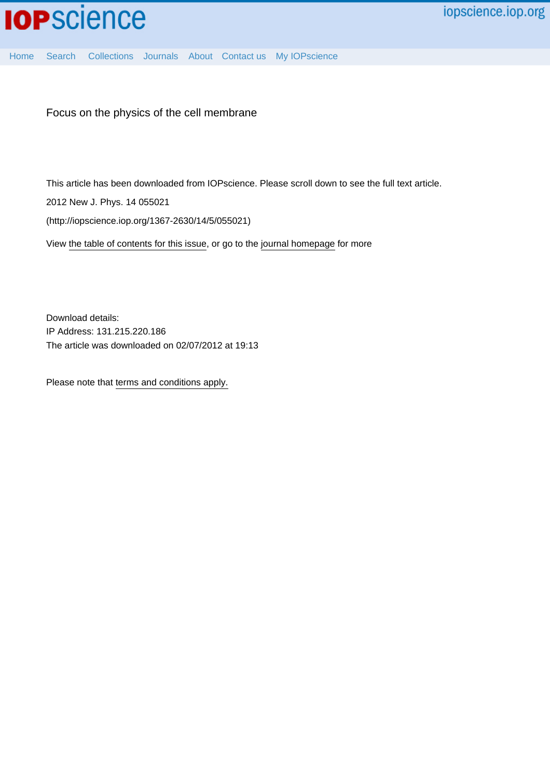

[Home](http://iopscience.iop.org/) [Search](http://iopscience.iop.org/search) [Collections](http://iopscience.iop.org/collections) [Journals](http://iopscience.iop.org/journals) [About](http://iopscience.iop.org/page/aboutioppublishing) [Contact us](http://iopscience.iop.org/contact) [My IOPscience](http://iopscience.iop.org/myiopscience)

Focus on the physics of the cell membrane

This article has been downloaded from IOPscience. Please scroll down to see the full text article.

2012 New J. Phys. 14 055021

(http://iopscience.iop.org/1367-2630/14/5/055021)

View [the table of contents for this issue](http://iopscience.iop.org/1367-2630/14/5), or go to the [journal homepage](http://iopscience.iop.org/1367-2630) for more

Download details: IP Address: 131.215.220.186 The article was downloaded on 02/07/2012 at 19:13

Please note that [terms and conditions apply.](http://iopscience.iop.org/page/terms)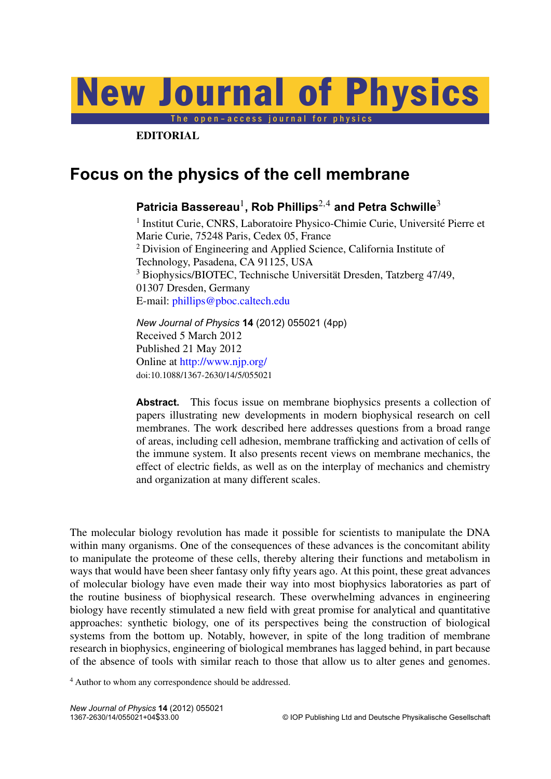## New Journal of Physics

The open-access journal for physics

**EDITORIAL**

## **Focus on the physics of the cell membrane**

**Patricia Bassereau**<sup>1</sup> **, Rob Phillips**2,<sup>4</sup> **and Petra Schwille**<sup>3</sup>

<sup>1</sup> Institut Curie, CNRS, Laboratoire Physico-Chimie Curie, Université Pierre et Marie Curie, 75248 Paris, Cedex 05, France <sup>2</sup> Division of Engineering and Applied Science, California Institute of Technology, Pasadena, CA 91125, USA <sup>3</sup> Biophysics/BIOTEC, Technische Universität Dresden, Tatzberg 47/49, 01307 Dresden, Germany E-mail: [phillips@pboc.caltech.edu](mailto:phillips@pboc.caltech.edu)

*New Journal of Physics* **14** (2012) 055021 (4pp) Received 5 March 2012 Published 21 May 2012 Online at <http://www.njp.org/> doi:10.1088/1367-2630/14/5/055021

Abstract. This focus issue on membrane biophysics presents a collection of papers illustrating new developments in modern biophysical research on cell membranes. The work described here addresses questions from a broad range of areas, including cell adhesion, membrane trafficking and activation of cells of the immune system. It also presents recent views on membrane mechanics, the effect of electric fields, as well as on the interplay of mechanics and chemistry and organization at many different scales.

The molecular biology revolution has made it possible for scientists to manipulate the DNA within many organisms. One of the consequences of these advances is the concomitant ability to manipulate the proteome of these cells, thereby altering their functions and metabolism in ways that would have been sheer fantasy only fifty years ago. At this point, these great advances of molecular biology have even made their way into most biophysics laboratories as part of the routine business of biophysical research. These overwhelming advances in engineering biology have recently stimulated a new field with great promise for analytical and quantitative approaches: synthetic biology, one of its perspectives being the construction of biological systems from the bottom up. Notably, however, in spite of the long tradition of membrane research in biophysics, engineering of biological membranes has lagged behind, in part because of the absence of tools with similar reach to those that allow us to alter genes and genomes.

<sup>4</sup> Author to whom any correspondence should be addressed.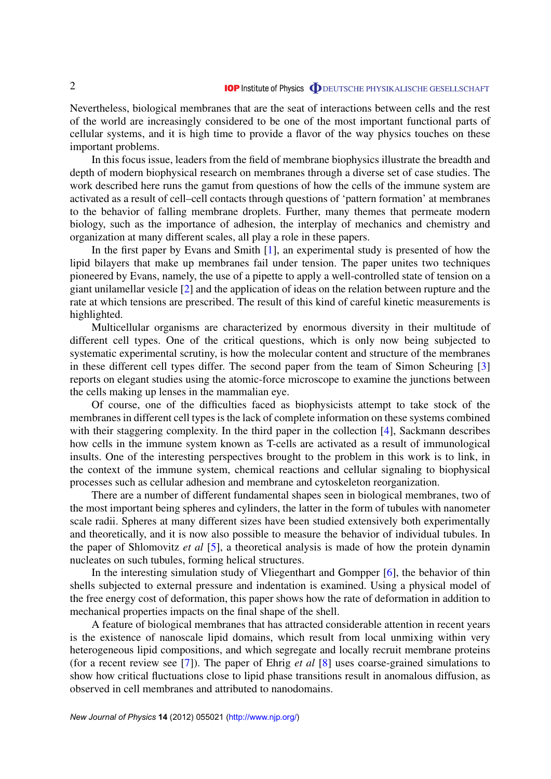Nevertheless, biological membranes that are the seat of interactions between cells and the rest of the world are increasingly considered to be one of the most important functional parts of cellular systems, and it is high time to provide a flavor of the way physics touches on these important problems.

In this focus issue, leaders from the field of membrane biophysics illustrate the breadth and depth of modern biophysical research on membranes through a diverse set of case studies. The work described here runs the gamut from questions of how the cells of the immune system are activated as a result of cell–cell contacts through questions of 'pattern formation' at membranes to the behavior of falling membrane droplets. Further, many themes that permeate modern biology, such as the importance of adhesion, the interplay of mechanics and chemistry and organization at many different scales, all play a role in these papers.

In the first paper by Evans and Smith [\[1\]](#page-4-0), an experimental study is presented of how the lipid bilayers that make up membranes fail under tension. The paper unites two techniques pioneered by Evans, namely, the use of a pipette to apply a well-controlled state of tension on a giant unilamellar vesicle [\[2\]](#page-4-0) and the application of ideas on the relation between rupture and the rate at which tensions are prescribed. The result of this kind of careful kinetic measurements is highlighted.

Multicellular organisms are characterized by enormous diversity in their multitude of different cell types. One of the critical questions, which is only now being subjected to systematic experimental scrutiny, is how the molecular content and structure of the membranes in these different cell types differ. The second paper from the team of Simon Scheuring [\[3\]](#page-4-0) reports on elegant studies using the atomic-force microscope to examine the junctions between the cells making up lenses in the mammalian eye.

Of course, one of the difficulties faced as biophysicists attempt to take stock of the membranes in different cell types is the lack of complete information on these systems combined with their staggering complexity. In the third paper in the collection [\[4\]](#page-4-0), Sackmann describes how cells in the immune system known as T-cells are activated as a result of immunological insults. One of the interesting perspectives brought to the problem in this work is to link, in the context of the immune system, chemical reactions and cellular signaling to biophysical processes such as cellular adhesion and membrane and cytoskeleton reorganization.

There are a number of different fundamental shapes seen in biological membranes, two of the most important being spheres and cylinders, the latter in the form of tubules with nanometer scale radii. Spheres at many different sizes have been studied extensively both experimentally and theoretically, and it is now also possible to measure the behavior of individual tubules. In the paper of Shlomovitz *et al* [\[5\]](#page-4-0), a theoretical analysis is made of how the protein dynamin nucleates on such tubules, forming helical structures.

In the interesting simulation study of Vliegenthart and Gompper [\[6\]](#page-4-0), the behavior of thin shells subjected to external pressure and indentation is examined. Using a physical model of the free energy cost of deformation, this paper shows how the rate of deformation in addition to mechanical properties impacts on the final shape of the shell.

A feature of biological membranes that has attracted considerable attention in recent years is the existence of nanoscale lipid domains, which result from local unmixing within very heterogeneous lipid compositions, and which segregate and locally recruit membrane proteins (for a recent review see [\[7\]](#page-4-0)). The paper of Ehrig *et al* [\[8\]](#page-4-0) uses coarse-grained simulations to show how critical fluctuations close to lipid phase transitions result in anomalous diffusion, as observed in cell membranes and attributed to nanodomains.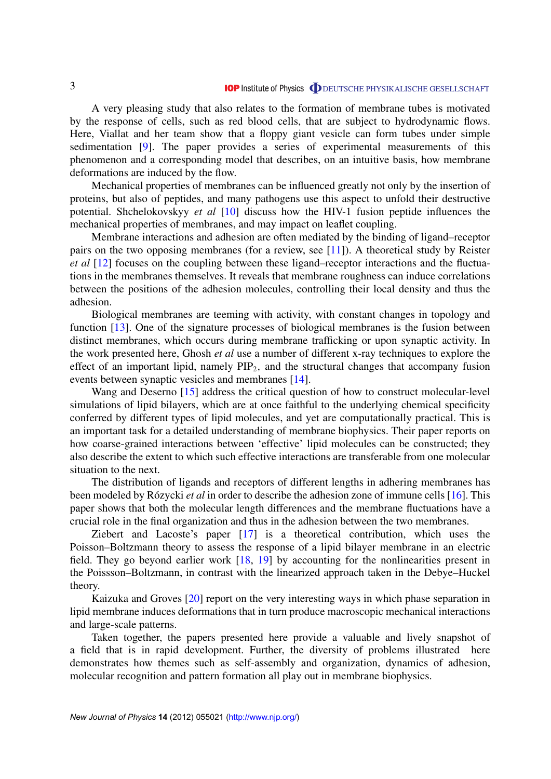A very pleasing study that also relates to the formation of membrane tubes is motivated by the response of cells, such as red blood cells, that are subject to hydrodynamic flows. Here, Viallat and her team show that a floppy giant vesicle can form tubes under simple sedimentation [\[9\]](#page-4-0). The paper provides a series of experimental measurements of this phenomenon and a corresponding model that describes, on an intuitive basis, how membrane deformations are induced by the flow.

Mechanical properties of membranes can be influenced greatly not only by the insertion of proteins, but also of peptides, and many pathogens use this aspect to unfold their destructive potential. Shchelokovskyy *et al* [\[10\]](#page-4-0) discuss how the HIV-1 fusion peptide influences the mechanical properties of membranes, and may impact on leaflet coupling.

Membrane interactions and adhesion are often mediated by the binding of ligand–receptor pairs on the two opposing membranes (for a review, see [\[11\]](#page-4-0)). A theoretical study by Reister *et al* [\[12\]](#page-4-0) focuses on the coupling between these ligand–receptor interactions and the fluctuations in the membranes themselves. It reveals that membrane roughness can induce correlations between the positions of the adhesion molecules, controlling their local density and thus the adhesion.

Biological membranes are teeming with activity, with constant changes in topology and function [\[13\]](#page-4-0). One of the signature processes of biological membranes is the fusion between distinct membranes, which occurs during membrane trafficking or upon synaptic activity. In the work presented here, Ghosh *et al* use a number of different x-ray techniques to explore the effect of an important lipid, namely  $\text{PIP}_2$ , and the structural changes that accompany fusion events between synaptic vesicles and membranes [\[14\]](#page-4-0).

Wang and Deserno [\[15\]](#page-4-0) address the critical question of how to construct molecular-level simulations of lipid bilayers, which are at once faithful to the underlying chemical specificity conferred by different types of lipid molecules, and yet are computationally practical. This is an important task for a detailed understanding of membrane biophysics. Their paper reports on how coarse-grained interactions between 'effective' lipid molecules can be constructed; they also describe the extent to which such effective interactions are transferable from one molecular situation to the next.

The distribution of ligands and receptors of different lengths in adhering membranes has been modeled by Rózycki *et al* in order to describe the adhesion zone of immune cells [\[16\]](#page-4-0). This paper shows that both the molecular length differences and the membrane fluctuations have a crucial role in the final organization and thus in the adhesion between the two membranes.

Ziebert and Lacoste's paper [\[17\]](#page-4-0) is a theoretical contribution, which uses the Poisson–Boltzmann theory to assess the response of a lipid bilayer membrane in an electric field. They go beyond earlier work [\[18,](#page-4-0) [19\]](#page-4-0) by accounting for the nonlinearities present in the Poissson–Boltzmann, in contrast with the linearized approach taken in the Debye–Huckel theory.

Kaizuka and Groves [\[20\]](#page-4-0) report on the very interesting ways in which phase separation in lipid membrane induces deformations that in turn produce macroscopic mechanical interactions and large-scale patterns.

Taken together, the papers presented here provide a valuable and lively snapshot of a field that is in rapid development. Further, the diversity of problems illustrated here demonstrates how themes such as self-assembly and organization, dynamics of adhesion, molecular recognition and pattern formation all play out in membrane biophysics.